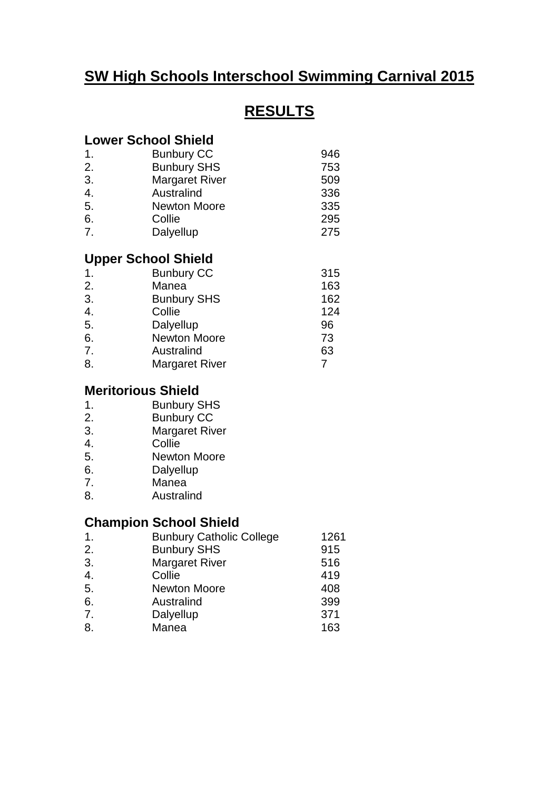## **SW High Schools Interschool Swimming Carnival 2015**

# **RESULTS**

#### **Lower School Shield**

| <b>Bunbury CC</b>     | 946 |
|-----------------------|-----|
| <b>Bunbury SHS</b>    | 753 |
| <b>Margaret River</b> | 509 |
| Australind            | 336 |
| <b>Newton Moore</b>   | 335 |
| Collie                | 295 |
| Dalyellup             | 275 |
|                       |     |

#### **Upper School Shield**

| $\mathbf{1}$ . | <b>Bunbury CC</b>     | 315 |
|----------------|-----------------------|-----|
| 2.             | Manea                 | 163 |
| 3.             | <b>Bunbury SHS</b>    | 162 |
| 4.             | Collie                | 124 |
| 5.             | Dalyellup             | 96  |
| 6.             | <b>Newton Moore</b>   | 73  |
| 7.             | Australind            | 63  |
| 8.             | <b>Margaret River</b> |     |

## **Meritorious Shield**

- 1. Bunbury SHS
- 2. Bunbury CC
- 3. Margaret River
- 4. Collie
- 5. Newton Moore
- 6. Dalyellup
- 7. Manea
- 8. Australind

### **Champion School Shield**

| $\mathbf 1$ .    | <b>Bunbury Catholic College</b> | 1261 |
|------------------|---------------------------------|------|
| 2.               | <b>Bunbury SHS</b>              | 915  |
| 3.               | <b>Margaret River</b>           | 516  |
| $\overline{4}$ . | Collie                          | 419  |
| 5.               | <b>Newton Moore</b>             | 408  |
| 6.               | Australind                      | 399  |
| 7.               | Dalyellup                       | 371  |
| 8.               | Manea                           | 163  |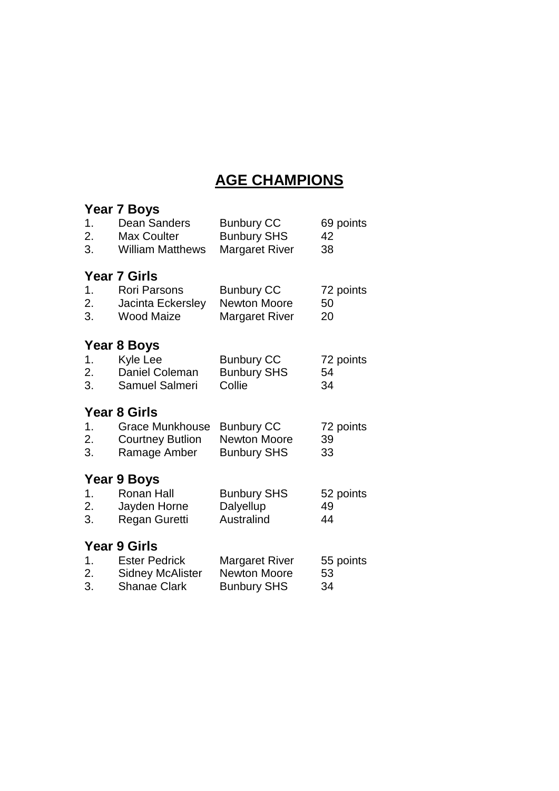## **AGE CHAMPIONS**

|          | <b>Year 7 Boys</b>                              |                                              |                 |
|----------|-------------------------------------------------|----------------------------------------------|-----------------|
| 1.       | <b>Dean Sanders</b>                             | <b>Bunbury CC</b>                            | 69 points       |
| 2.       | <b>Max Coulter</b>                              | <b>Bunbury SHS</b>                           | 42              |
| 3.       | <b>William Matthews</b>                         | <b>Margaret River</b>                        | 38              |
|          |                                                 |                                              |                 |
|          | <b>Year 7 Girls</b>                             |                                              |                 |
| 1.       | <b>Rori Parsons</b>                             | <b>Bunbury CC</b>                            | 72 points       |
| 2.       | Jacinta Eckersley                               | <b>Newton Moore</b>                          | 50              |
| 3.       | <b>Wood Maize</b>                               | <b>Margaret River</b>                        | 20              |
|          |                                                 |                                              |                 |
|          | Year 8 Boys                                     |                                              |                 |
| 1.       | <b>Kyle Lee</b>                                 | <b>Bunbury CC</b>                            | 72 points       |
| 2.       | Daniel Coleman                                  | <b>Bunbury SHS</b>                           | 54              |
| 3.       | Samuel Salmeri                                  | Collie                                       | 34              |
|          |                                                 |                                              |                 |
|          |                                                 |                                              |                 |
|          | <b>Year 8 Girls</b>                             |                                              |                 |
| 1.       | <b>Grace Munkhouse</b>                          | <b>Bunbury CC</b>                            | 72 points       |
| 2.       | <b>Courtney Butlion</b>                         | <b>Newton Moore</b>                          | 39              |
| 3.       | Ramage Amber                                    | <b>Bunbury SHS</b>                           | 33              |
|          |                                                 |                                              |                 |
|          | Year 9 Boys                                     |                                              |                 |
| 1.       | <b>Ronan Hall</b>                               | <b>Bunbury SHS</b>                           | 52 points       |
| 2.       | Jayden Horne                                    | Dalyellup                                    | 49              |
| 3.       | Regan Guretti                                   | Australind                                   | 44              |
|          |                                                 |                                              |                 |
|          | <b>Year 9 Girls</b>                             |                                              |                 |
| 1.<br>2. | <b>Ester Pedrick</b><br><b>Sidney McAlister</b> | <b>Margaret River</b><br><b>Newton Moore</b> | 55 points<br>53 |